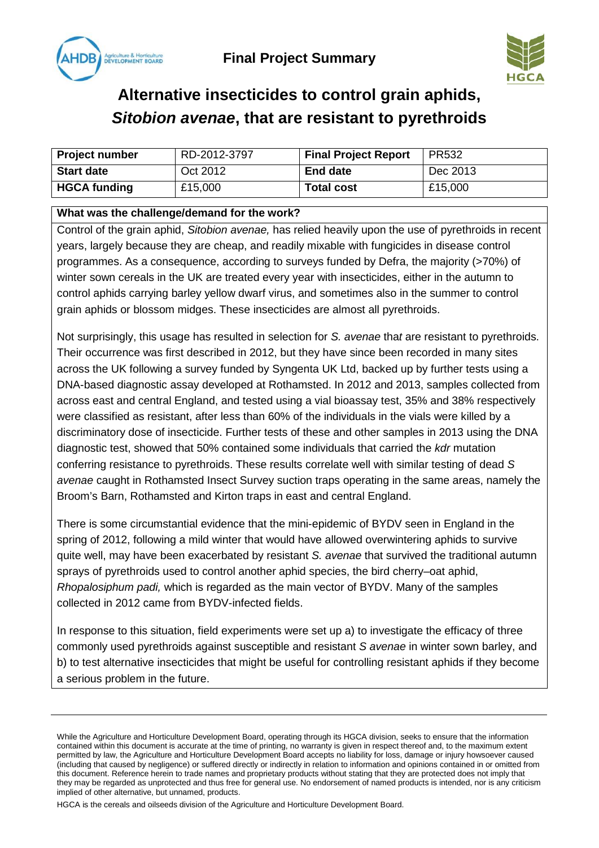



# **Alternative insecticides to control grain aphids,**  *Sitobion avenae***, that are resistant to pyrethroids**

| <b>Project number</b> | RD-2012-3797 | <b>Final Project Report</b> | <b>PR532</b> |
|-----------------------|--------------|-----------------------------|--------------|
| <b>Start date</b>     | Oct 2012     | <b>End date</b>             | Dec 2013     |
| <b>HGCA funding</b>   | £15,000      | <b>Total cost</b>           | £15,000      |

#### **What was the challenge/demand for the work?**

Control of the grain aphid, *Sitobion avenae,* has relied heavily upon the use of pyrethroids in recent years, largely because they are cheap, and readily mixable with fungicides in disease control programmes. As a consequence, according to surveys funded by Defra, the majority (>70%) of winter sown cereals in the UK are treated every year with insecticides, either in the autumn to control aphids carrying barley yellow dwarf virus, and sometimes also in the summer to control grain aphids or blossom midges. These insecticides are almost all pyrethroids.

Not surprisingly, this usage has resulted in selection for *S. avenae* tha*t* are resistant to pyrethroids. Their occurrence was first described in 2012, but they have since been recorded in many sites across the UK following a survey funded by Syngenta UK Ltd, backed up by further tests using a DNA-based diagnostic assay developed at Rothamsted. In 2012 and 2013, samples collected from across east and central England, and tested using a vial bioassay test, 35% and 38% respectively were classified as resistant, after less than 60% of the individuals in the vials were killed by a discriminatory dose of insecticide. Further tests of these and other samples in 2013 using the DNA diagnostic test, showed that 50% contained some individuals that carried the *kdr* mutation conferring resistance to pyrethroids. These results correlate well with similar testing of dead *S avenae* caught in Rothamsted Insect Survey suction traps operating in the same areas, namely the Broom's Barn, Rothamsted and Kirton traps in east and central England.

There is some circumstantial evidence that the mini-epidemic of BYDV seen in England in the spring of 2012, following a mild winter that would have allowed overwintering aphids to survive quite well, may have been exacerbated by resistant *S. avenae* that survived the traditional autumn sprays of pyrethroids used to control another aphid species, the bird cherry–oat aphid, *Rhopalosiphum padi,* which is regarded as the main vector of BYDV. Many of the samples collected in 2012 came from BYDV-infected fields.

In response to this situation, field experiments were set up a) to investigate the efficacy of three commonly used pyrethroids against susceptible and resistant *S avenae* in winter sown barley, and b) to test alternative insecticides that might be useful for controlling resistant aphids if they become a serious problem in the future.

While the Agriculture and Horticulture Development Board, operating through its HGCA division, seeks to ensure that the information contained within this document is accurate at the time of printing, no warranty is given in respect thereof and, to the maximum extent permitted by law, the Agriculture and Horticulture Development Board accepts no liability for loss, damage or injury howsoever caused (including that caused by negligence) or suffered directly or indirectly in relation to information and opinions contained in or omitted from this document. Reference herein to trade names and proprietary products without stating that they are protected does not imply that they may be regarded as unprotected and thus free for general use. No endorsement of named products is intended, nor is any criticism implied of other alternative, but unnamed, products.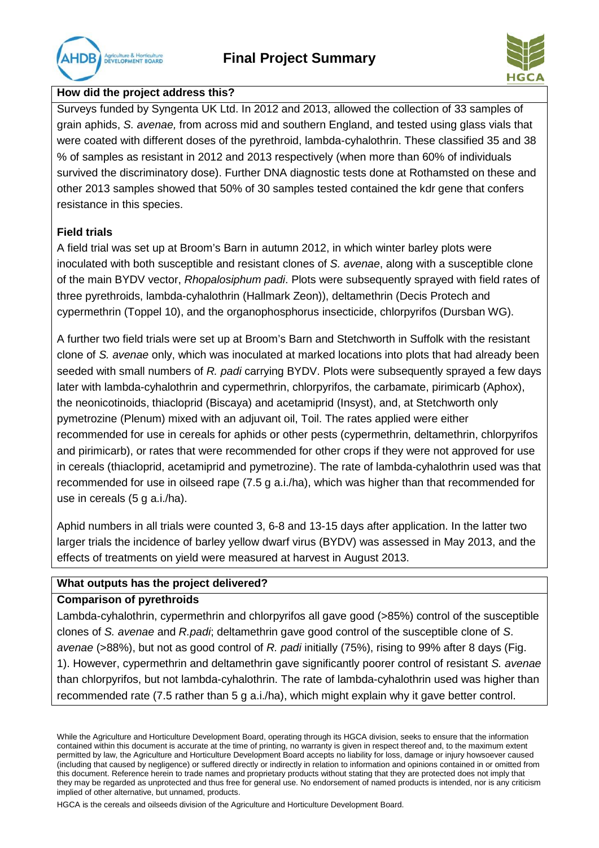## **Final Project Summary**





### **How did the project address this?**

Surveys funded by Syngenta UK Ltd. In 2012 and 2013, allowed the collection of 33 samples of grain aphids, *S. avenae,* from across mid and southern England, and tested using glass vials that were coated with different doses of the pyrethroid, lambda-cyhalothrin. These classified 35 and 38 % of samples as resistant in 2012 and 2013 respectively (when more than 60% of individuals survived the discriminatory dose). Further DNA diagnostic tests done at Rothamsted on these and other 2013 samples showed that 50% of 30 samples tested contained the kdr gene that confers resistance in this species.

### **Field trials**

A field trial was set up at Broom's Barn in autumn 2012, in which winter barley plots were inoculated with both susceptible and resistant clones of *S. avenae*, along with a susceptible clone of the main BYDV vector, *Rhopalosiphum padi*. Plots were subsequently sprayed with field rates of three pyrethroids, lambda-cyhalothrin (Hallmark Zeon)), deltamethrin (Decis Protech and cypermethrin (Toppel 10), and the organophosphorus insecticide, chlorpyrifos (Dursban WG).

A further two field trials were set up at Broom's Barn and Stetchworth in Suffolk with the resistant clone of *S. avenae* only, which was inoculated at marked locations into plots that had already been seeded with small numbers of *R. padi* carrying BYDV. Plots were subsequently sprayed a few days later with lambda-cyhalothrin and cypermethrin, chlorpyrifos, the carbamate, pirimicarb (Aphox), the neonicotinoids, thiacloprid (Biscaya) and acetamiprid (Insyst), and, at Stetchworth only pymetrozine (Plenum) mixed with an adjuvant oil, Toil. The rates applied were either recommended for use in cereals for aphids or other pests (cypermethrin, deltamethrin, chlorpyrifos and pirimicarb), or rates that were recommended for other crops if they were not approved for use in cereals (thiacloprid, acetamiprid and pymetrozine). The rate of lambda-cyhalothrin used was that recommended for use in oilseed rape (7.5 g a.i./ha), which was higher than that recommended for use in cereals (5 g a.i./ha).

Aphid numbers in all trials were counted 3, 6-8 and 13-15 days after application. In the latter two larger trials the incidence of barley yellow dwarf virus (BYDV) was assessed in May 2013, and the effects of treatments on yield were measured at harvest in August 2013.

### **What outputs has the project delivered?**

#### **Comparison of pyrethroids**

Lambda-cyhalothrin, cypermethrin and chlorpyrifos all gave good (>85%) control of the susceptible clones of *S. avenae* and *R.padi*; deltamethrin gave good control of the susceptible clone of *S*. *avenae* (>88%), but not as good control of *R. padi* initially (75%), rising to 99% after 8 days (Fig. 1). However, cypermethrin and deltamethrin gave significantly poorer control of resistant *S. avenae*  than chlorpyrifos, but not lambda-cyhalothrin. The rate of lambda-cyhalothrin used was higher than recommended rate (7.5 rather than 5 g a.i./ha), which might explain why it gave better control.

While the Agriculture and Horticulture Development Board, operating through its HGCA division, seeks to ensure that the information contained within this document is accurate at the time of printing, no warranty is given in respect thereof and, to the maximum extent permitted by law, the Agriculture and Horticulture Development Board accepts no liability for loss, damage or injury howsoever caused (including that caused by negligence) or suffered directly or indirectly in relation to information and opinions contained in or omitted from this document. Reference herein to trade names and proprietary products without stating that they are protected does not imply that they may be regarded as unprotected and thus free for general use. No endorsement of named products is intended, nor is any criticism implied of other alternative, but unnamed, products.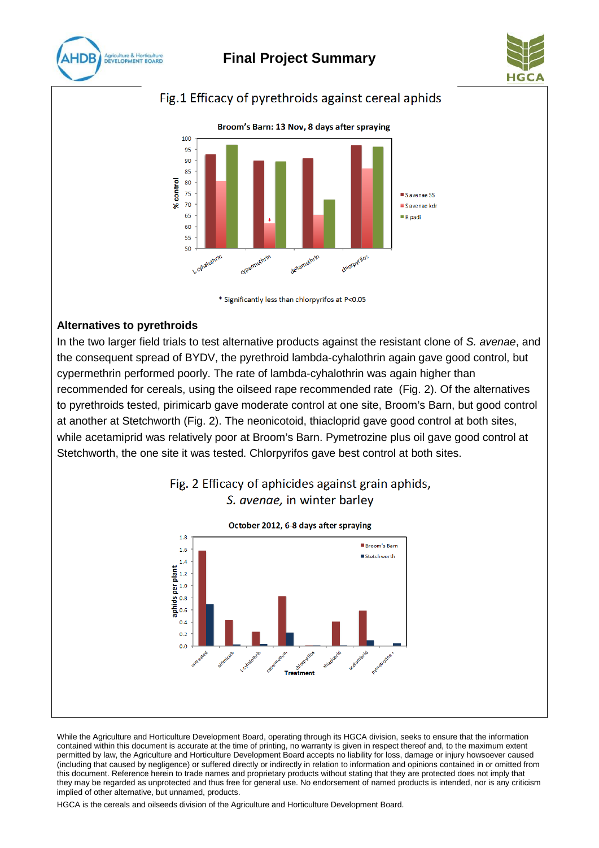

## **Final Project Summary**



### Fig.1 Efficacy of pyrethroids against cereal aphids



\* Significantly less than chlorpyrifos at P<0.05

### **Alternatives to pyrethroids**

In the two larger field trials to test alternative products against the resistant clone of *S. avenae*, and the consequent spread of BYDV, the pyrethroid lambda-cyhalothrin again gave good control, but cypermethrin performed poorly. The rate of lambda-cyhalothrin was again higher than recommended for cereals, using the oilseed rape recommended rate (Fig. 2). Of the alternatives to pyrethroids tested, pirimicarb gave moderate control at one site, Broom's Barn, but good control at another at Stetchworth (Fig. 2). The neonicotoid, thiacloprid gave good control at both sites, while acetamiprid was relatively poor at Broom's Barn. Pymetrozine plus oil gave good control at Stetchworth, the one site it was tested. Chlorpyrifos gave best control at both sites.



Fig. 2 Efficacy of aphicides against grain aphids,

While the Agriculture and Horticulture Development Board, operating through its HGCA division, seeks to ensure that the information contained within this document is accurate at the time of printing, no warranty is given in respect thereof and, to the maximum extent permitted by law, the Agriculture and Horticulture Development Board accepts no liability for loss, damage or injury howsoever caused (including that caused by negligence) or suffered directly or indirectly in relation to information and opinions contained in or omitted from this document. Reference herein to trade names and proprietary products without stating that they are protected does not imply that they may be regarded as unprotected and thus free for general use. No endorsement of named products is intended, nor is any criticism implied of other alternative, but unnamed, products.